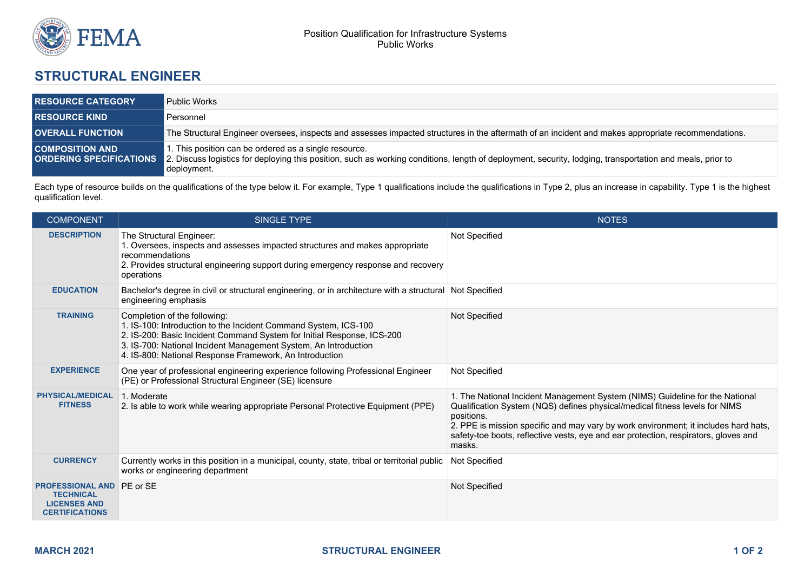

## **STRUCTURAL ENGINEER**

| <b>RESOURCE CATEGORY</b> | <b>Public Works</b>                                                                                                                                                                                                                                      |
|--------------------------|----------------------------------------------------------------------------------------------------------------------------------------------------------------------------------------------------------------------------------------------------------|
| <b>RESOURCE KIND</b>     | Personnel                                                                                                                                                                                                                                                |
| <b>OVERALL FUNCTION</b>  | The Structural Engineer oversees, inspects and assesses impacted structures in the aftermath of an incident and makes appropriate recommendations.                                                                                                       |
| <b>COMPOSITION AND</b>   | . This position can be ordered as a single resource.<br>ORDERING SPECIFICATIONS 2. Discuss logistics for deploying this position, such as working conditions, length of deployment, security, lodging, transportation and meals, prior to<br>deployment. |

Each type of resource builds on the qualifications of the type below it. For example, Type 1 qualifications include the qualifications in Type 2, plus an increase in capability. Type 1 is the highest qualification level.

| <b>COMPONENT</b>                                                                                     | <b>SINGLE TYPE</b>                                                                                                                                                                                                                                                                                      | <b>NOTES</b>                                                                                                                                                                                                                                                                                                                                                      |
|------------------------------------------------------------------------------------------------------|---------------------------------------------------------------------------------------------------------------------------------------------------------------------------------------------------------------------------------------------------------------------------------------------------------|-------------------------------------------------------------------------------------------------------------------------------------------------------------------------------------------------------------------------------------------------------------------------------------------------------------------------------------------------------------------|
| <b>DESCRIPTION</b>                                                                                   | The Structural Engineer:<br>1. Oversees, inspects and assesses impacted structures and makes appropriate<br>recommendations<br>2. Provides structural engineering support during emergency response and recovery<br>operations                                                                          | Not Specified                                                                                                                                                                                                                                                                                                                                                     |
| <b>EDUCATION</b>                                                                                     | Bachelor's degree in civil or structural engineering, or in architecture with a structural Not Specified<br>engineering emphasis                                                                                                                                                                        |                                                                                                                                                                                                                                                                                                                                                                   |
| <b>TRAINING</b>                                                                                      | Completion of the following:<br>1. IS-100: Introduction to the Incident Command System, ICS-100<br>2. IS-200: Basic Incident Command System for Initial Response, ICS-200<br>3. IS-700: National Incident Management System, An Introduction<br>4. IS-800: National Response Framework, An Introduction | Not Specified                                                                                                                                                                                                                                                                                                                                                     |
| <b>EXPERIENCE</b>                                                                                    | One year of professional engineering experience following Professional Engineer<br>(PE) or Professional Structural Engineer (SE) licensure                                                                                                                                                              | Not Specified                                                                                                                                                                                                                                                                                                                                                     |
| <b>PHYSICAL/MEDICAL</b><br><b>FITNESS</b>                                                            | 1. Moderate<br>2. Is able to work while wearing appropriate Personal Protective Equipment (PPE)                                                                                                                                                                                                         | 1. The National Incident Management System (NIMS) Guideline for the National<br>Qualification System (NQS) defines physical/medical fitness levels for NIMS<br>positions.<br>2. PPE is mission specific and may vary by work environment; it includes hard hats,<br>safety-toe boots, reflective vests, eye and ear protection, respirators, gloves and<br>masks. |
| <b>CURRENCY</b>                                                                                      | Currently works in this position in a municipal, county, state, tribal or territorial public<br>works or engineering department                                                                                                                                                                         | Not Specified                                                                                                                                                                                                                                                                                                                                                     |
| <b>PROFESSIONAL AND PE or SE</b><br><b>TECHNICAL</b><br><b>LICENSES AND</b><br><b>CERTIFICATIONS</b> |                                                                                                                                                                                                                                                                                                         | Not Specified                                                                                                                                                                                                                                                                                                                                                     |